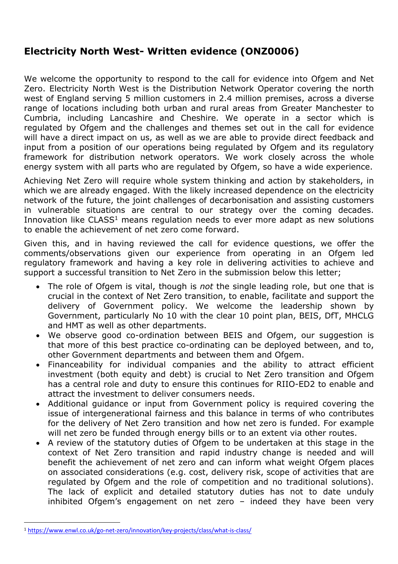## **Electricity North West- Written evidence (ONZ0006)**

We welcome the opportunity to respond to the call for evidence into Ofgem and Net Zero. Electricity North West is the Distribution Network Operator covering the north west of England serving 5 million customers in 2.4 million premises, across a diverse range of locations including both urban and rural areas from Greater Manchester to Cumbria, including Lancashire and Cheshire. We operate in a sector which is regulated by Ofgem and the challenges and themes set out in the call for evidence will have a direct impact on us, as well as we are able to provide direct feedback and input from a position of our operations being regulated by Ofgem and its regulatory framework for distribution network operators. We work closely across the whole energy system with all parts who are regulated by Ofgem, so have a wide experience.

Achieving Net Zero will require whole system thinking and action by stakeholders, in which we are already engaged. With the likely increased dependence on the electricity network of the future, the joint challenges of decarbonisation and assisting customers in vulnerable situations are central to our strategy over the coming decades. Innovation like CLASS<sup>1</sup> means regulation needs to ever more adapt as new solutions to enable the achievement of net zero come forward.

Given this, and in having reviewed the call for evidence questions, we offer the comments/observations given our experience from operating in an Ofgem led regulatory framework and having a key role in delivering activities to achieve and support a successful transition to Net Zero in the submission below this letter;

- The role of Ofgem is vital, though is *not* the single leading role, but one that is crucial in the context of Net Zero transition, to enable, facilitate and support the delivery of Government policy. We welcome the leadership shown by Government, particularly No 10 with the clear 10 point plan, BEIS, DfT, MHCLG and HMT as well as other departments.
- We observe good co-ordination between BEIS and Ofgem, our suggestion is that more of this best practice co-ordinating can be deployed between, and to, other Government departments and between them and Ofgem.
- Financeability for individual companies and the ability to attract efficient investment (both equity and debt) is crucial to Net Zero transition and Ofgem has a central role and duty to ensure this continues for RIIO-ED2 to enable and attract the investment to deliver consumers needs.
- Additional guidance or input from Government policy is required covering the issue of intergenerational fairness and this balance in terms of who contributes for the delivery of Net Zero transition and how net zero is funded. For example will net zero be funded through energy bills or to an extent via other routes.
- A review of the statutory duties of Ofgem to be undertaken at this stage in the context of Net Zero transition and rapid industry change is needed and will benefit the achievement of net zero and can inform what weight Ofgem places on associated considerations (e.g. cost, delivery risk, scope of activities that are regulated by Ofgem and the role of competition and no traditional solutions). The lack of explicit and detailed statutory duties has not to date unduly inhibited Ofgem's engagement on net zero – indeed they have been very

<sup>1</sup> <https://www.enwl.co.uk/go-net-zero/innovation/key-projects/class/what-is-class/>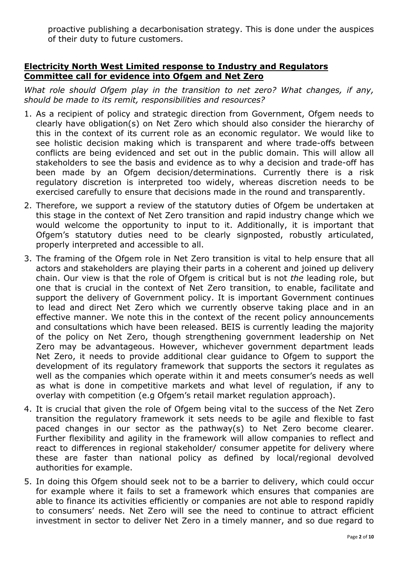proactive publishing a decarbonisation strategy. This is done under the auspices of their duty to future customers.

## **Electricity North West Limited response to Industry and Regulators Committee call for evidence into Ofgem and Net Zero**

*What role should Ofgem play in the transition to net zero? What changes, if any, should be made to its remit, responsibilities and resources?*

- 1. As a recipient of policy and strategic direction from Government, Ofgem needs to clearly have obligation(s) on Net Zero which should also consider the hierarchy of this in the context of its current role as an economic regulator. We would like to see holistic decision making which is transparent and where trade-offs between conflicts are being evidenced and set out in the public domain. This will allow all stakeholders to see the basis and evidence as to why a decision and trade-off has been made by an Ofgem decision/determinations. Currently there is a risk regulatory discretion is interpreted too widely, whereas discretion needs to be exercised carefully to ensure that decisions made in the round and transparently.
- 2. Therefore, we support a review of the statutory duties of Ofgem be undertaken at this stage in the context of Net Zero transition and rapid industry change which we would welcome the opportunity to input to it. Additionally, it is important that Ofgem's statutory duties need to be clearly signposted, robustly articulated, properly interpreted and accessible to all.
- 3. The framing of the Ofgem role in Net Zero transition is vital to help ensure that all actors and stakeholders are playing their parts in a coherent and joined up delivery chain. Our view is that the role of Ofgem is critical but is not *the* leading role, but one that is crucial in the context of Net Zero transition, to enable, facilitate and support the delivery of Government policy. It is important Government continues to lead and direct Net Zero which we currently observe taking place and in an effective manner. We note this in the context of the recent policy announcements and consultations which have been released. BEIS is currently leading the majority of the policy on Net Zero, though strengthening government leadership on Net Zero may be advantageous. However, whichever government department leads Net Zero, it needs to provide additional clear guidance to Ofgem to support the development of its regulatory framework that supports the sectors it regulates as well as the companies which operate within it and meets consumer's needs as well as what is done in competitive markets and what level of regulation, if any to overlay with competition (e.g Ofgem's retail market regulation approach).
- 4. It is crucial that given the role of Ofgem being vital to the success of the Net Zero transition the regulatory framework it sets needs to be agile and flexible to fast paced changes in our sector as the pathway(s) to Net Zero become clearer. Further flexibility and agility in the framework will allow companies to reflect and react to differences in regional stakeholder/ consumer appetite for delivery where these are faster than national policy as defined by local/regional devolved authorities for example.
- 5. In doing this Ofgem should seek not to be a barrier to delivery, which could occur for example where it fails to set a framework which ensures that companies are able to finance its activities efficiently or companies are not able to respond rapidly to consumers' needs. Net Zero will see the need to continue to attract efficient investment in sector to deliver Net Zero in a timely manner, and so due regard to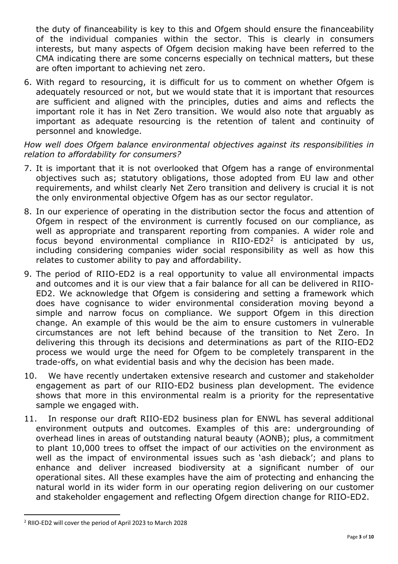the duty of financeability is key to this and Ofgem should ensure the financeability of the individual companies within the sector. This is clearly in consumers interests, but many aspects of Ofgem decision making have been referred to the CMA indicating there are some concerns especially on technical matters, but these are often important to achieving net zero.

6. With regard to resourcing, it is difficult for us to comment on whether Ofgem is adequately resourced or not, but we would state that it is important that resources are sufficient and aligned with the principles, duties and aims and reflects the important role it has in Net Zero transition. We would also note that arguably as important as adequate resourcing is the retention of talent and continuity of personnel and knowledge.

*How well does Ofgem balance environmental objectives against its responsibilities in relation to affordability for consumers?*

- 7. It is important that it is not overlooked that Ofgem has a range of environmental objectives such as; statutory obligations, those adopted from EU law and other requirements, and whilst clearly Net Zero transition and delivery is crucial it is not the only environmental objective Ofgem has as our sector regulator.
- 8. In our experience of operating in the distribution sector the focus and attention of Ofgem in respect of the environment is currently focused on our compliance, as well as appropriate and transparent reporting from companies. A wider role and focus beyond environmental compliance in RIIO-ED2<sup>2</sup> is anticipated by us, including considering companies wider social responsibility as well as how this relates to customer ability to pay and affordability.
- 9. The period of RIIO-ED2 is a real opportunity to value all environmental impacts and outcomes and it is our view that a fair balance for all can be delivered in RIIO-ED2. We acknowledge that Ofgem is considering and setting a framework which does have cognisance to wider environmental consideration moving beyond a simple and narrow focus on compliance. We support Ofgem in this direction change. An example of this would be the aim to ensure customers in vulnerable circumstances are not left behind because of the transition to Net Zero. In delivering this through its decisions and determinations as part of the RIIO-ED2 process we would urge the need for Ofgem to be completely transparent in the trade-offs, on what evidential basis and why the decision has been made.
- 10. We have recently undertaken extensive research and customer and stakeholder engagement as part of our RIIO-ED2 business plan development. The evidence shows that more in this environmental realm is a priority for the representative sample we engaged with.
- 11. In response our draft RIIO-ED2 business plan for ENWL has several additional environment outputs and outcomes. Examples of this are: undergrounding of overhead lines in areas of outstanding natural beauty (AONB); plus, a commitment to plant 10,000 trees to offset the impact of our activities on the environment as well as the impact of environmental issues such as 'ash dieback'; and plans to enhance and deliver increased biodiversity at a significant number of our operational sites. All these examples have the aim of protecting and enhancing the natural world in its wider form in our operating region delivering on our customer and stakeholder engagement and reflecting Ofgem direction change for RIIO-ED2.

<sup>2</sup> RIIO-ED2 will cover the period of April 2023 to March 2028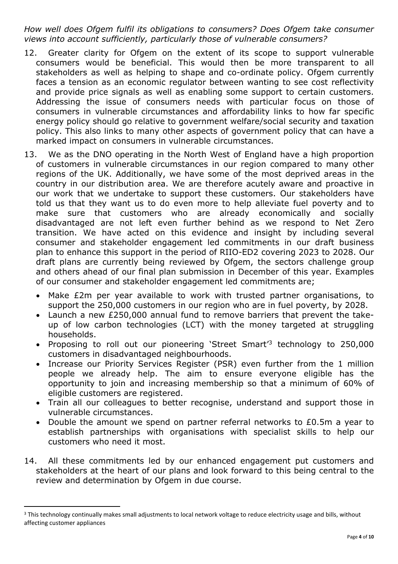*How well does Ofgem fulfil its obligations to consumers? Does Ofgem take consumer views into account sufficiently, particularly those of vulnerable consumers?*

- 12. Greater clarity for Ofgem on the extent of its scope to support vulnerable consumers would be beneficial. This would then be more transparent to all stakeholders as well as helping to shape and co-ordinate policy. Ofgem currently faces a tension as an economic regulator between wanting to see cost reflectivity and provide price signals as well as enabling some support to certain customers. Addressing the issue of consumers needs with particular focus on those of consumers in vulnerable circumstances and affordability links to how far specific energy policy should go relative to government welfare/social security and taxation policy. This also links to many other aspects of government policy that can have a marked impact on consumers in vulnerable circumstances.
- 13. We as the DNO operating in the North West of England have a high proportion of customers in vulnerable circumstances in our region compared to many other regions of the UK. Additionally, we have some of the most deprived areas in the country in our distribution area. We are therefore acutely aware and proactive in our work that we undertake to support these customers. Our stakeholders have told us that they want us to do even more to help alleviate fuel poverty and to make sure that customers who are already economically and socially disadvantaged are not left even further behind as we respond to Net Zero transition. We have acted on this evidence and insight by including several consumer and stakeholder engagement led commitments in our draft business plan to enhance this support in the period of RIIO-ED2 covering 2023 to 2028. Our draft plans are currently being reviewed by Ofgem, the sectors challenge group and others ahead of our final plan submission in December of this year. Examples of our consumer and stakeholder engagement led commitments are;
	- Make £2m per year available to work with trusted partner organisations, to support the 250,000 customers in our region who are in fuel poverty, by 2028.
	- Launch a new £250,000 annual fund to remove barriers that prevent the takeup of low carbon technologies (LCT) with the money targeted at struggling households.
	- Proposing to roll out our pioneering 'Street Smart<sup>'3</sup> technology to 250,000 customers in disadvantaged neighbourhoods.
	- Increase our Priority Services Register (PSR) even further from the 1 million people we already help. The aim to ensure everyone eligible has the opportunity to join and increasing membership so that a minimum of 60% of eligible customers are registered.
	- Train all our colleagues to better recognise, understand and support those in vulnerable circumstances.
	- Double the amount we spend on partner referral networks to £0.5m a year to establish partnerships with organisations with specialist skills to help our customers who need it most.
- 14. All these commitments led by our enhanced engagement put customers and stakeholders at the heart of our plans and look forward to this being central to the review and determination by Ofgem in due course.

<sup>&</sup>lt;sup>3</sup> This technology continually makes small adjustments to local network voltage to reduce electricity usage and bills, without affecting customer appliances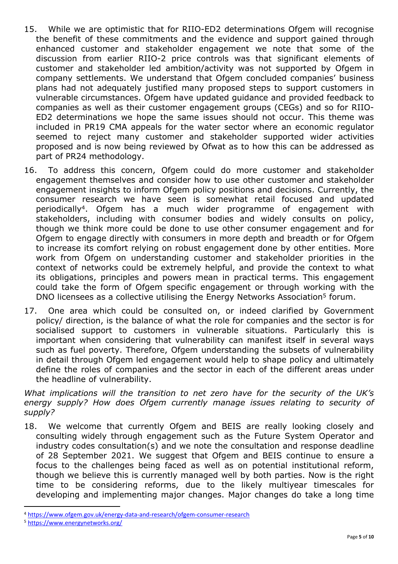- 15. While we are optimistic that for RIIO-ED2 determinations Ofgem will recognise the benefit of these commitments and the evidence and support gained through enhanced customer and stakeholder engagement we note that some of the discussion from earlier RIIO-2 price controls was that significant elements of customer and stakeholder led ambition/activity was not supported by Ofgem in company settlements. We understand that Ofgem concluded companies' business plans had not adequately justified many proposed steps to support customers in vulnerable circumstances. Ofgem have updated guidance and provided feedback to companies as well as their customer engagement groups (CEGs) and so for RIIO-ED2 determinations we hope the same issues should not occur. This theme was included in PR19 CMA appeals for the water sector where an economic regulator seemed to reject many customer and stakeholder supported wider activities proposed and is now being reviewed by Ofwat as to how this can be addressed as part of PR24 methodology.
- 16. To address this concern, Ofgem could do more customer and stakeholder engagement themselves and consider how to use other customer and stakeholder engagement insights to inform Ofgem policy positions and decisions. Currently, the consumer research we have seen is somewhat retail focused and updated periodically<sup>4</sup>. Ofgem has a much wider programme of engagement with stakeholders, including with consumer bodies and widely consults on policy, though we think more could be done to use other consumer engagement and for Ofgem to engage directly with consumers in more depth and breadth or for Ofgem to increase its comfort relying on robust engagement done by other entities. More work from Ofgem on understanding customer and stakeholder priorities in the context of networks could be extremely helpful, and provide the context to what its obligations, principles and powers mean in practical terms. This engagement could take the form of Ofgem specific engagement or through working with the DNO licensees as a collective utilising the Energy Networks Association<sup>5</sup> forum.
- 17. One area which could be consulted on, or indeed clarified by Government policy/ direction, is the balance of what the role for companies and the sector is for socialised support to customers in vulnerable situations. Particularly this is important when considering that vulnerability can manifest itself in several ways such as fuel poverty. Therefore, Ofgem understanding the subsets of vulnerability in detail through Ofgem led engagement would help to shape policy and ultimately define the roles of companies and the sector in each of the different areas under the headline of vulnerability.

*What implications will the transition to net zero have for the security of the UK's energy supply? How does Ofgem currently manage issues relating to security of supply?*

18. We welcome that currently Ofgem and BEIS are really looking closely and consulting widely through engagement such as the Future System Operator and industry codes consultation(s) and we note the consultation and response deadline of 28 September 2021. We suggest that Ofgem and BEIS continue to ensure a focus to the challenges being faced as well as on potential institutional reform, though we believe this is currently managed well by both parties. Now is the right time to be considering reforms, due to the likely multiyear timescales for developing and implementing major changes. Major changes do take a long time

<sup>4</sup> <https://www.ofgem.gov.uk/energy-data-and-research/ofgem-consumer-research>

<sup>5</sup> <https://www.energynetworks.org/>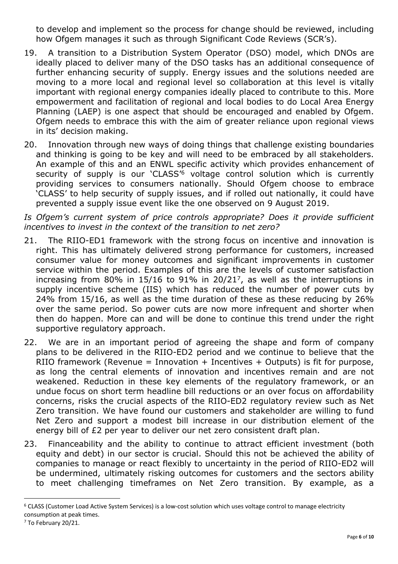to develop and implement so the process for change should be reviewed, including how Ofgem manages it such as through Significant Code Reviews (SCR's).

- 19. A transition to a Distribution System Operator (DSO) model, which DNOs are ideally placed to deliver many of the DSO tasks has an additional consequence of further enhancing security of supply. Energy issues and the solutions needed are moving to a more local and regional level so collaboration at this level is vitally important with regional energy companies ideally placed to contribute to this. More empowerment and facilitation of regional and local bodies to do Local Area Energy Planning (LAEP) is one aspect that should be encouraged and enabled by Ofgem. Ofgem needs to embrace this with the aim of greater reliance upon regional views in its' decision making.
- 20. Innovation through new ways of doing things that challenge existing boundaries and thinking is going to be key and will need to be embraced by all stakeholders. An example of this and an ENWL specific activity which provides enhancement of security of supply is our 'CLASS'<sup>6</sup> voltage control solution which is currently providing services to consumers nationally. Should Ofgem choose to embrace 'CLASS' to help security of supply issues, and if rolled out nationally, it could have prevented a supply issue event like the one observed on 9 August 2019.

*Is Ofgem's current system of price controls appropriate? Does it provide sufficient incentives to invest in the context of the transition to net zero?*

- 21. The RIIO-ED1 framework with the strong focus on incentive and innovation is right. This has ultimately delivered strong performance for customers, increased consumer value for money outcomes and significant improvements in customer service within the period. Examples of this are the levels of customer satisfaction increasing from 80% in 15/16 to 91% in 20/21<sup>7</sup>, as well as the interruptions in supply incentive scheme (IIS) which has reduced the number of power cuts by 24% from 15/16, as well as the time duration of these as these reducing by 26% over the same period. So power cuts are now more infrequent and shorter when then do happen. More can and will be done to continue this trend under the right supportive regulatory approach.
- 22. We are in an important period of agreeing the shape and form of company plans to be delivered in the RIIO-ED2 period and we continue to believe that the RIIO framework (Revenue = Innovation + Incentives + Outputs) is fit for purpose, as long the central elements of innovation and incentives remain and are not weakened. Reduction in these key elements of the regulatory framework, or an undue focus on short term headline bill reductions or an over focus on affordability concerns, risks the crucial aspects of the RIIO-ED2 regulatory review such as Net Zero transition. We have found our customers and stakeholder are willing to fund Net Zero and support a modest bill increase in our distribution element of the energy bill of £2 per year to deliver our net zero consistent draft plan.
- 23. Financeability and the ability to continue to attract efficient investment (both equity and debt) in our sector is crucial. Should this not be achieved the ability of companies to manage or react flexibly to uncertainty in the period of RIIO-ED2 will be undermined, ultimately risking outcomes for customers and the sectors ability to meet challenging timeframes on Net Zero transition. By example, as a

<sup>6</sup> CLASS (Customer Load Active System Services) is a low-cost solution which uses voltage control to manage electricity consumption at peak times.

<sup>7</sup> To February 20/21.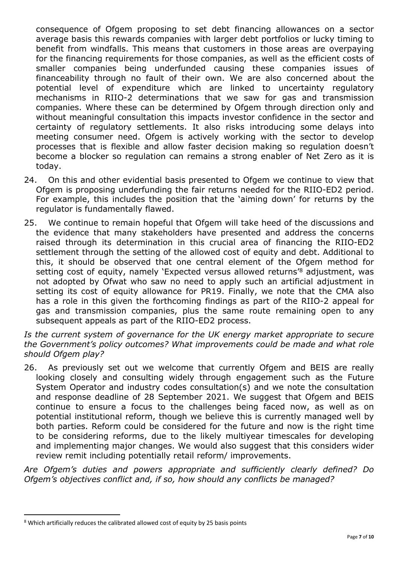consequence of Ofgem proposing to set debt financing allowances on a sector average basis this rewards companies with larger debt portfolios or lucky timing to benefit from windfalls. This means that customers in those areas are overpaying for the financing requirements for those companies, as well as the efficient costs of smaller companies being underfunded causing these companies issues of financeability through no fault of their own. We are also concerned about the potential level of expenditure which are linked to uncertainty regulatory mechanisms in RIIO-2 determinations that we saw for gas and transmission companies. Where these can be determined by Ofgem through direction only and without meaningful consultation this impacts investor confidence in the sector and certainty of regulatory settlements. It also risks introducing some delays into meeting consumer need. Ofgem is actively working with the sector to develop processes that is flexible and allow faster decision making so regulation doesn't become a blocker so regulation can remains a strong enabler of Net Zero as it is today.

- 24. On this and other evidential basis presented to Ofgem we continue to view that Ofgem is proposing underfunding the fair returns needed for the RIIO-ED2 period. For example, this includes the position that the 'aiming down' for returns by the regulator is fundamentally flawed.
- 25. We continue to remain hopeful that Ofgem will take heed of the discussions and the evidence that many stakeholders have presented and address the concerns raised through its determination in this crucial area of financing the RIIO-ED2 settlement through the setting of the allowed cost of equity and debt. Additional to this, it should be observed that one central element of the Ofgem method for setting cost of equity, namely 'Expected versus allowed returns<sup>'8</sup> adjustment, was not adopted by Ofwat who saw no need to apply such an artificial adjustment in setting its cost of equity allowance for PR19. Finally, we note that the CMA also has a role in this given the forthcoming findings as part of the RIIO-2 appeal for gas and transmission companies, plus the same route remaining open to any subsequent appeals as part of the RIIO-ED2 process.

*Is the current system of governance for the UK energy market appropriate to secure the Government's policy outcomes? What improvements could be made and what role should Ofgem play?*

26. As previously set out we welcome that currently Ofgem and BEIS are really looking closely and consulting widely through engagement such as the Future System Operator and industry codes consultation(s) and we note the consultation and response deadline of 28 September 2021. We suggest that Ofgem and BEIS continue to ensure a focus to the challenges being faced now, as well as on potential institutional reform, though we believe this is currently managed well by both parties. Reform could be considered for the future and now is the right time to be considering reforms, due to the likely multiyear timescales for developing and implementing major changes. We would also suggest that this considers wider review remit including potentially retail reform/ improvements.

*Are Ofgem's duties and powers appropriate and sufficiently clearly defined? Do Ofgem's objectives conflict and, if so, how should any conflicts be managed?*

<sup>8</sup> Which artificially reduces the calibrated allowed cost of equity by 25 basis points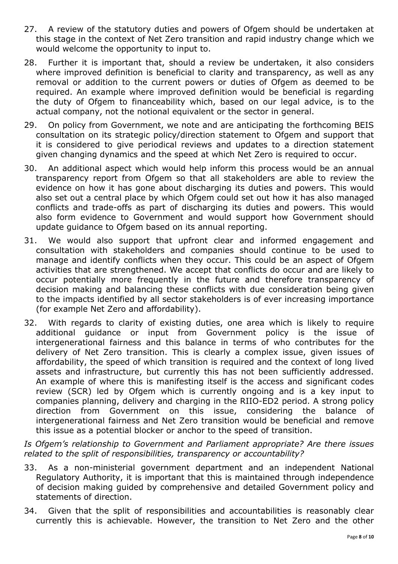- 27. A review of the statutory duties and powers of Ofgem should be undertaken at this stage in the context of Net Zero transition and rapid industry change which we would welcome the opportunity to input to.
- 28. Further it is important that, should a review be undertaken, it also considers where improved definition is beneficial to clarity and transparency, as well as any removal or addition to the current powers or duties of Ofgem as deemed to be required. An example where improved definition would be beneficial is regarding the duty of Ofgem to financeability which, based on our legal advice, is to the actual company, not the notional equivalent or the sector in general.
- 29. On policy from Government, we note and are anticipating the forthcoming BEIS consultation on its strategic policy/direction statement to Ofgem and support that it is considered to give periodical reviews and updates to a direction statement given changing dynamics and the speed at which Net Zero is required to occur.
- 30. An additional aspect which would help inform this process would be an annual transparency report from Ofgem so that all stakeholders are able to review the evidence on how it has gone about discharging its duties and powers. This would also set out a central place by which Ofgem could set out how it has also managed conflicts and trade-offs as part of discharging its duties and powers. This would also form evidence to Government and would support how Government should update guidance to Ofgem based on its annual reporting.
- 31. We would also support that upfront clear and informed engagement and consultation with stakeholders and companies should continue to be used to manage and identify conflicts when they occur. This could be an aspect of Ofgem activities that are strengthened. We accept that conflicts do occur and are likely to occur potentially more frequently in the future and therefore transparency of decision making and balancing these conflicts with due consideration being given to the impacts identified by all sector stakeholders is of ever increasing importance (for example Net Zero and affordability).
- 32. With regards to clarity of existing duties, one area which is likely to require additional guidance or input from Government policy is the issue of intergenerational fairness and this balance in terms of who contributes for the delivery of Net Zero transition. This is clearly a complex issue, given issues of affordability, the speed of which transition is required and the context of long lived assets and infrastructure, but currently this has not been sufficiently addressed. An example of where this is manifesting itself is the access and significant codes review (SCR) led by Ofgem which is currently ongoing and is a key input to companies planning, delivery and charging in the RIIO-ED2 period. A strong policy direction from Government on this issue, considering the balance of intergenerational fairness and Net Zero transition would be beneficial and remove this issue as a potential blocker or anchor to the speed of transition.

*Is Ofgem's relationship to Government and Parliament appropriate? Are there issues related to the split of responsibilities, transparency or accountability?*

- 33. As a non-ministerial government department and an independent National Regulatory Authority, it is important that this is maintained through independence of decision making guided by comprehensive and detailed Government policy and statements of direction.
- 34. Given that the split of responsibilities and accountabilities is reasonably clear currently this is achievable. However, the transition to Net Zero and the other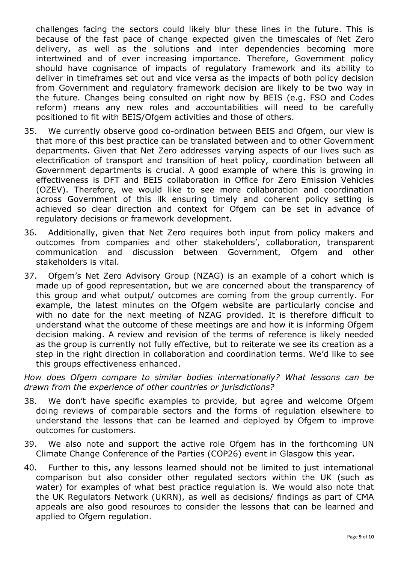challenges facing the sectors could likely blur these lines in the future. This is because of the fast pace of change expected given the timescales of Net Zero delivery, as well as the solutions and inter dependencies becoming more intertwined and of ever increasing importance. Therefore, Government policy should have cognisance of impacts of regulatory framework and its ability to deliver in timeframes set out and vice versa as the impacts of both policy decision from Government and regulatory framework decision are likely to be two way in the future. Changes being consulted on right now by BEIS (e.g. FSO and Codes reform) means any new roles and accountabilities will need to be carefully positioned to fit with BEIS/Ofgem activities and those of others.

- 35. We currently observe good co-ordination between BEIS and Ofgem, our view is that more of this best practice can be translated between and to other Government departments. Given that Net Zero addresses varying aspects of our lives such as electrification of transport and transition of heat policy, coordination between all Government departments is crucial. A good example of where this is growing in effectiveness is DFT and BEIS collaboration in Office for Zero Emission Vehicles (OZEV). Therefore, we would like to see more collaboration and coordination across Government of this ilk ensuring timely and coherent policy setting is achieved so clear direction and context for Ofgem can be set in advance of regulatory decisions or framework development.
- 36. Additionally, given that Net Zero requires both input from policy makers and outcomes from companies and other stakeholders', collaboration, transparent communication and discussion between Government, Ofgem and other stakeholders is vital.
- 37. Ofgem's Net Zero Advisory Group (NZAG) is an example of a cohort which is made up of good representation, but we are concerned about the transparency of this group and what output/ outcomes are coming from the group currently. For example, the latest minutes on the Ofgem website are particularly concise and with no date for the next meeting of NZAG provided. It is therefore difficult to understand what the outcome of these meetings are and how it is informing Ofgem decision making. A review and revision of the terms of reference is likely needed as the group is currently not fully effective, but to reiterate we see its creation as a step in the right direction in collaboration and coordination terms. We'd like to see this groups effectiveness enhanced.

*How does Ofgem compare to similar bodies internationally? What lessons can be drawn from the experience of other countries or jurisdictions?*

- 38. We don't have specific examples to provide, but agree and welcome Ofgem doing reviews of comparable sectors and the forms of regulation elsewhere to understand the lessons that can be learned and deployed by Ofgem to improve outcomes for customers.
- 39. We also note and support the active role Ofgem has in the forthcoming UN Climate Change Conference of the Parties (COP26) event in Glasgow this year.
- 40. Further to this, any lessons learned should not be limited to just international comparison but also consider other regulated sectors within the UK (such as water) for examples of what best practice regulation is. We would also note that the UK Regulators Network (UKRN), as well as decisions/ findings as part of CMA appeals are also good resources to consider the lessons that can be learned and applied to Ofgem regulation.